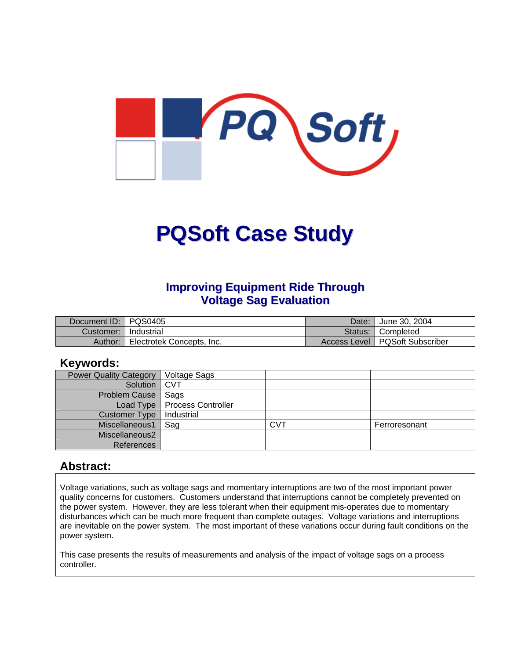

# **PQSoft Case Study**

## **Improving Equipment Ride Through Voltage Sag Evaluation**

| Document ID: PQS0405 |                           | Date: | <sup>"</sup> June 30, 2004       |
|----------------------|---------------------------|-------|----------------------------------|
| Customer:            | Industrial                |       | Status: Completed                |
| Author:              | Electrotek Concepts, Inc. |       | Access Level   PQSoft Subscriber |

#### **Keywords:**

| <b>Power Quality Category</b> | <b>Voltage Sags</b>            |            |               |
|-------------------------------|--------------------------------|------------|---------------|
| Solution   CVT                |                                |            |               |
| Problem Cause                 | Sags                           |            |               |
|                               | Load Type   Process Controller |            |               |
| Customer Type                 | Industrial                     |            |               |
| Miscellaneous1                | Sag                            | <b>CVT</b> | Ferroresonant |
| Miscellaneous2                |                                |            |               |
| References                    |                                |            |               |

#### **Abstract:**

Voltage variations, such as voltage sags and momentary interruptions are two of the most important power quality concerns for customers. Customers understand that interruptions cannot be completely prevented on the power system. However, they are less tolerant when their equipment mis-operates due to momentary disturbances which can be much more frequent than complete outages. Voltage variations and interruptions are inevitable on the power system. The most important of these variations occur during fault conditions on the power system.

This case presents the results of measurements and analysis of the impact of voltage sags on a process controller.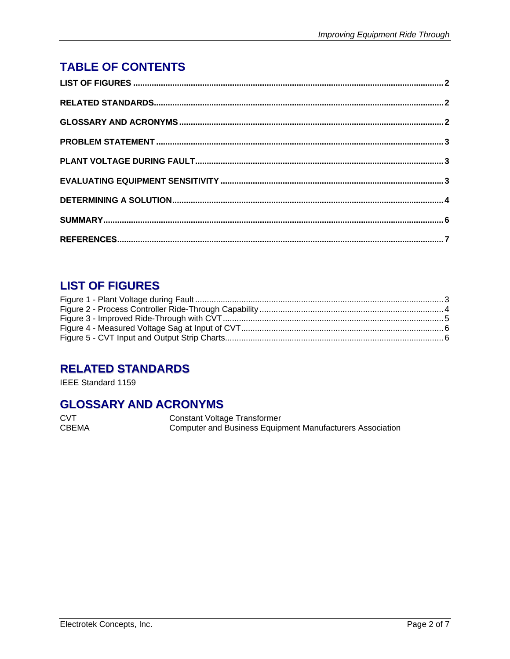# <span id="page-1-0"></span>**TABLE OF CONTENTS**

## **LIST OF FIGURES**

## **RELATED STANDARDS**

IEEE Standard 1159

#### **GLOSSARY AND ACRONYMS**

**CVT CBEMA**  **Constant Voltage Transformer** Computer and Business Equipment Manufacturers Association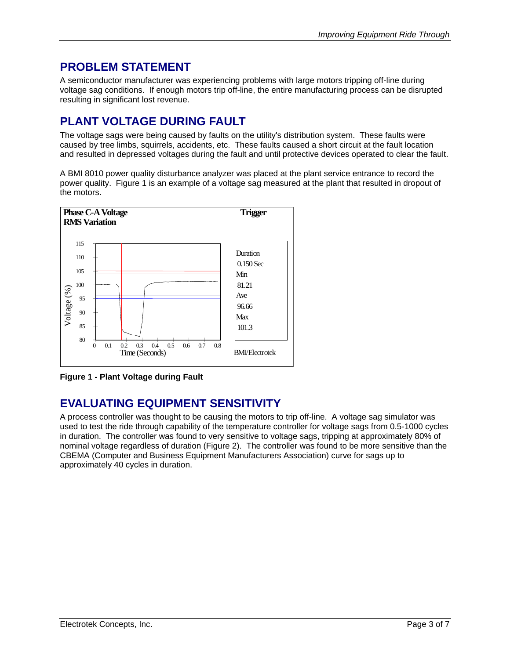## <span id="page-2-0"></span>**PROBLEM STATEMENT**

A semiconductor manufacturer was experiencing problems with large motors tripping off-line during voltage sag conditions. If enough motors trip off-line, the entire manufacturing process can be disrupted resulting in significant lost revenue.

## **PLANT VOLTAGE DURING FAULT**

The voltage sags were being caused by faults on the utility's distribution system. These faults were caused by tree limbs, squirrels, accidents, etc. These faults caused a short circuit at the fault location and resulted in depressed voltages during the fault and until protective devices operated to clear the fault.

A BMI 8010 power quality disturbance analyzer was placed at the plant service entrance to record the power quality. [Figure 1](#page-2-1) is an example of a voltage sag measured at the plant that resulted in dropout of the motors.

<span id="page-2-1"></span>

**Figure 1 - Plant Voltage during Fault** 

# **EVALUATING EQUIPMENT SENSITIVITY**

A process controller was thought to be causing the motors to trip off-line. A voltage sag simulator was used to test the ride through capability of the temperature controller for voltage sags from 0.5-1000 cycles in duration. The controller was found to very sensitive to voltage sags, tripping at approximately 80% of nominal voltage regardless of duration (Figure 2). The controller was found to be more sensitive than the CBEMA (Computer and Business Equipment Manufacturers Association) curve for sags up to approximately 40 cycles in duration.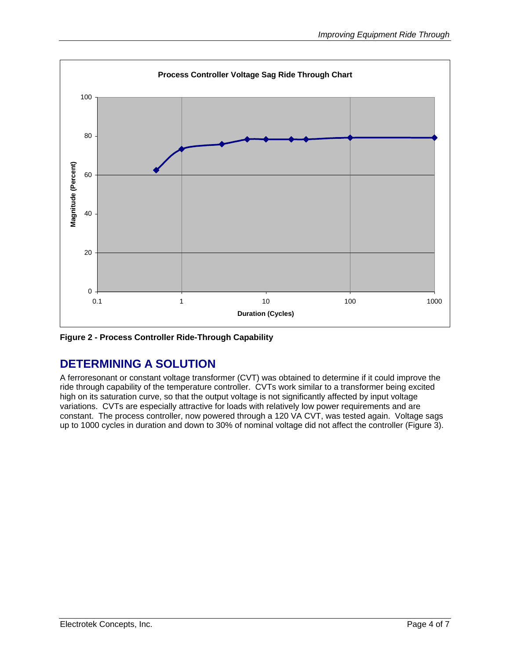<span id="page-3-0"></span>

**Figure 2 - Process Controller Ride-Through Capability**

## **DETERMINING A SOLUTION**

A ferroresonant or constant voltage transformer (CVT) was obtained to determine if it could improve the ride through capability of the temperature controller. CVTs work similar to a transformer being excited high on its saturation curve, so that the output voltage is not significantly affected by input voltage variations. CVTs are especially attractive for loads with relatively low power requirements and are constant. The process controller, now powered through a 120 VA CVT, was tested again. Voltage sags up to 1000 cycles in duration and down to 30% of nominal voltage did not affect the controller ([Figure 3\)](#page-4-1).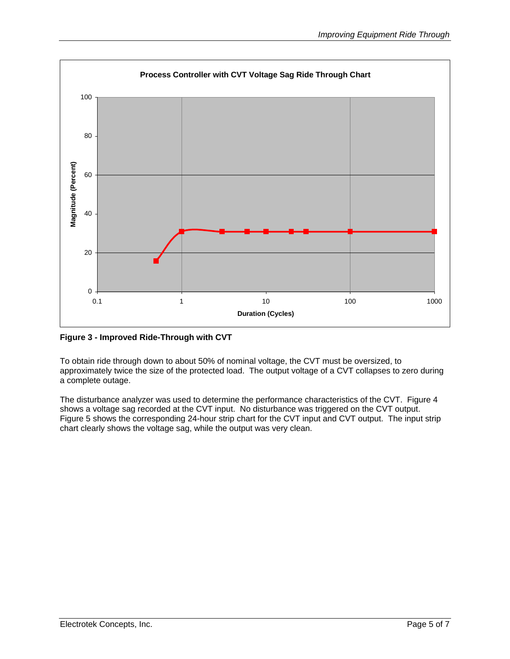<span id="page-4-1"></span><span id="page-4-0"></span>

**Figure 3 - Improved Ride-Through with CVT** 

To obtain ride through down to about 50% of nominal voltage, the CVT must be oversized, to approximately twice the size of the protected load. The output voltage of a CVT collapses to zero during a complete outage.

The disturbance analyzer was used to determine the performance characteristics of the CVT. [Figure 4](#page-5-1)  shows a voltage sag recorded at the CVT input. No disturbance was triggered on the CVT output. [Figure 5](#page-5-2) shows the corresponding 24-hour strip chart for the CVT input and CVT output. The input strip chart clearly shows the voltage sag, while the output was very clean.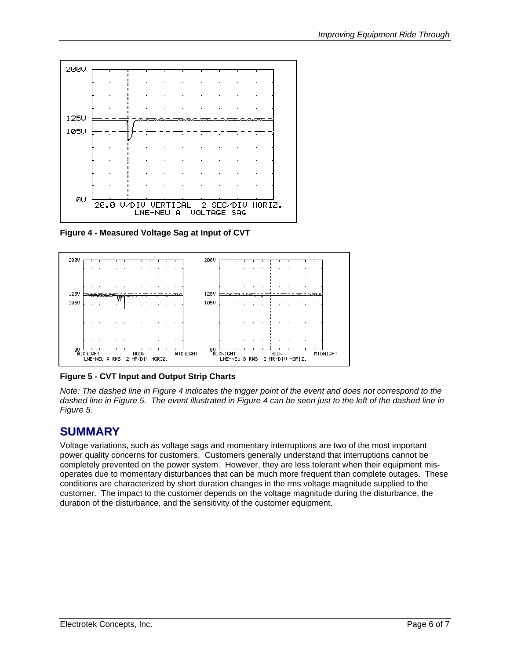<span id="page-5-1"></span><span id="page-5-0"></span>

**Figure 4 - Measured Voltage Sag at Input of CVT**

<span id="page-5-2"></span>

**Figure 5 - CVT Input and Output Strip Charts** 

*Note: The dashed line in [Figure 4](#page-5-1) indicates the trigger point of the event and does not correspond to the dashed line in [Figure 5.](#page-5-2) The event illustrated in [Figure 4](#page-5-1) can be seen just to the left of the dashed line in [Figure 5.](#page-5-2)* 

# **SUMMARY**

Voltage variations, such as voltage sags and momentary interruptions are two of the most important power quality concerns for customers. Customers generally understand that interruptions cannot be completely prevented on the power system. However, they are less tolerant when their equipment misoperates due to momentary disturbances that can be much more frequent than complete outages. These conditions are characterized by short duration changes in the rms voltage magnitude supplied to the customer. The impact to the customer depends on the voltage magnitude during the disturbance, the duration of the disturbance, and the sensitivity of the customer equipment.